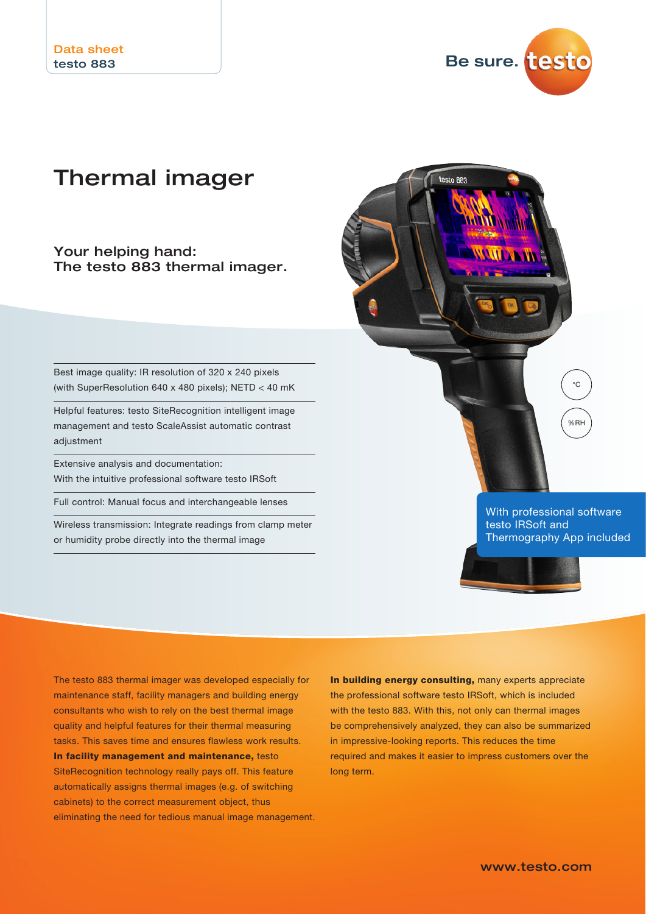

testo 883

# Thermal imager

Your helping hand: The testo 883 thermal imager.

Best image quality: IR resolution of 320 x 240 pixels (with SuperResolution 640 x 480 pixels); NETD < 40 mK

Helpful features: testo SiteRecognition intelligent image management and testo ScaleAssist automatic contrast adjustment

Extensive analysis and documentation: With the intuitive professional software testo IRSoft

Full control: Manual focus and interchangeable lenses

Wireless transmission: Integrate readings from clamp meter or humidity probe directly into the thermal image



testo IRSoft and Thermography App included



The testo 883 thermal imager was developed especially for maintenance staff, facility managers and building energy consultants who wish to rely on the best thermal image quality and helpful features for their thermal measuring tasks. This saves time and ensures flawless work results. In facility management and maintenance, testo SiteRecognition technology really pays off. This feature automatically assigns thermal images (e.g. of switching cabinets) to the correct measurement object, thus eliminating the need for tedious manual image management. In building energy consulting, many experts appreciate the professional software testo IRSoft, which is included with the testo 883. With this, not only can thermal images be comprehensively analyzed, they can also be summarized in impressive-looking reports. This reduces the time required and makes it easier to impress customers over the long term.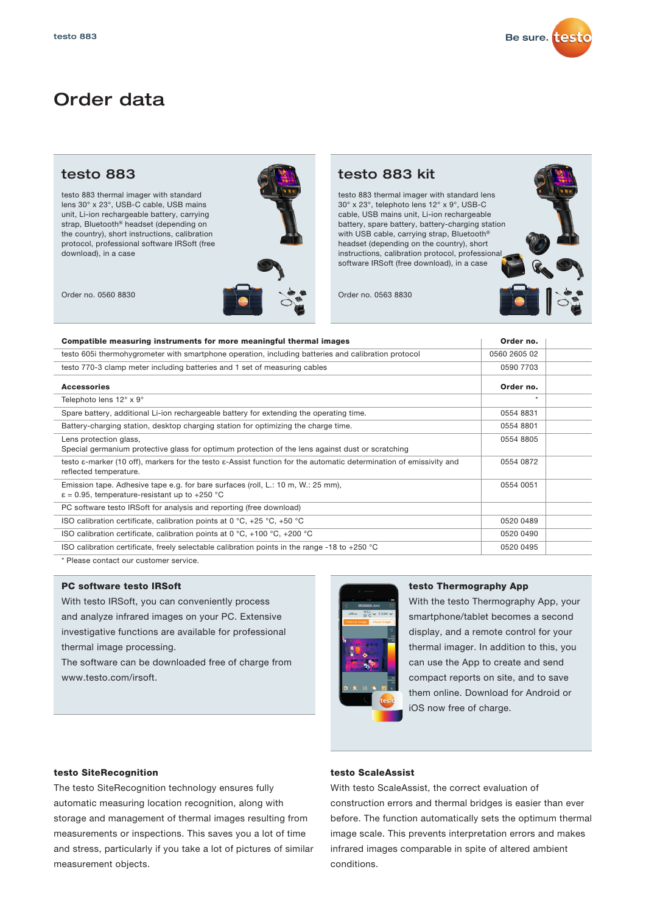

# Order data

testo 883 thermal imager with standard lens 30° x 23°, USB-C cable, USB mains unit, Li-ion rechargeable battery, carrying strap, Bluetooth® headset (depending on the country), short instructions, calibration protocol, professional software IRSoft (free download), in a case



testo 883 thermal imager with standard lens 30° x 23°, telephoto lens 12° x 9°, USB-C cable, USB mains unit, Li-ion rechargeable battery, spare battery, battery-charging station with USB cable, carrying strap, Bluetooth® headset (depending on the country), short instructions, calibration protocol, professional software IRSoft (free download), in a case



| Compatible measuring instruments for more meaningful thermal images                                                                           | Order no.    |  |
|-----------------------------------------------------------------------------------------------------------------------------------------------|--------------|--|
| testo 605i thermohygrometer with smartphone operation, including batteries and calibration protocol                                           | 0560 2605 02 |  |
| testo 770-3 clamp meter including batteries and 1 set of measuring cables                                                                     | 0590 7703    |  |
| Accessories                                                                                                                                   | Order no.    |  |
| Telephoto lens 12° x 9°                                                                                                                       | $\ast$       |  |
| Spare battery, additional Li-ion rechargeable battery for extending the operating time.                                                       | 0554 8831    |  |
| Battery-charging station, desktop charging station for optimizing the charge time.                                                            | 0554 8801    |  |
| Lens protection glass,<br>Special germanium protective glass for optimum protection of the lens against dust or scratching                    | 0554 8805    |  |
| testo ε-marker (10 off), markers for the testo ε-Assist function for the automatic determination of emissivity and<br>reflected temperature.  | 0554 0872    |  |
| Emission tape. Adhesive tape e.g. for bare surfaces (roll, L.: 10 m, W.: 25 mm),<br>$\varepsilon$ = 0.95, temperature-resistant up to +250 °C | 0554 0051    |  |
| PC software testo IRSoft for analysis and reporting (free download)                                                                           |              |  |
| ISO calibration certificate, calibration points at 0 $^{\circ}$ C, +25 $^{\circ}$ C, +50 $^{\circ}$ C                                         | 0520 0489    |  |
| ISO calibration certificate, calibration points at 0 °C, +100 °C, +200 °C                                                                     | 0520 0490    |  |
| ISO calibration certificate, freely selectable calibration points in the range -18 to +250 $^{\circ}$ C                                       | 0520 0495    |  |
|                                                                                                                                               |              |  |

\* Please contact our customer service.

## PC software testo IRSoft

With testo IRSoft, you can conveniently process and analyze infrared images on your PC. Extensive investigative functions are available for professional thermal image processing.

The software can be downloaded free of charge from www.testo.com/irsoft.



## testo Thermography App

With the testo Thermography App, your smartphone/tablet becomes a second display, and a remote control for your thermal imager. In addition to this, you can use the App to create and send compact reports on site, and to save them online. Download for Android or iOS now free of charge.

## testo SiteRecognition

The testo SiteRecognition technology ensures fully automatic measuring location recognition, along with storage and management of thermal images resulting from measurements or inspections. This saves you a lot of time and stress, particularly if you take a lot of pictures of similar measurement objects.

## testo ScaleAssist

With testo ScaleAssist, the correct evaluation of construction errors and thermal bridges is easier than ever before. The function automatically sets the optimum thermal image scale. This prevents interpretation errors and makes infrared images comparable in spite of altered ambient conditions.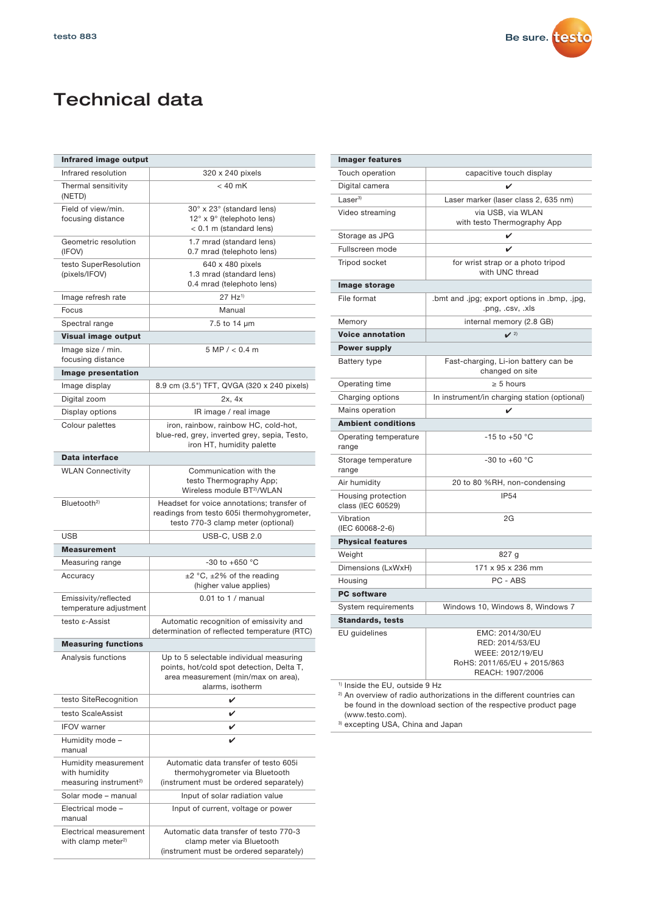

# Technical data

| Infrared image output                                                       |                                                                                                                                                 |  |
|-----------------------------------------------------------------------------|-------------------------------------------------------------------------------------------------------------------------------------------------|--|
| Infrared resolution                                                         | 320 x 240 pixels                                                                                                                                |  |
| Thermal sensitivity<br>(NETD)                                               | $< 40$ mK                                                                                                                                       |  |
| Field of view/min.<br>focusing distance                                     | 30° x 23° (standard lens)<br>12° x 9° (telephoto lens)<br>$< 0.1$ m (standard lens)                                                             |  |
| Geometric resolution<br>(IFOV)                                              | 1.7 mrad (standard lens)<br>0.7 mrad (telephoto lens)                                                                                           |  |
| testo SuperResolution<br>(pixels/IFOV)                                      | 640 x 480 pixels<br>1.3 mrad (standard lens)<br>0.4 mrad (telephoto lens)                                                                       |  |
| Image refresh rate                                                          | $27 Hz^{1}$                                                                                                                                     |  |
| Focus                                                                       | Manual                                                                                                                                          |  |
| Spectral range                                                              | 7.5 to 14 µm                                                                                                                                    |  |
| Visual image output                                                         |                                                                                                                                                 |  |
| Image size / min.<br>focusing distance                                      | 5 MP / < 0.4 m                                                                                                                                  |  |
| Image presentation                                                          |                                                                                                                                                 |  |
| Image display                                                               | 8.9 cm (3.5") TFT, QVGA (320 x 240 pixels)                                                                                                      |  |
| Digital zoom                                                                | 2x, 4x                                                                                                                                          |  |
| Display options                                                             | IR image / real image                                                                                                                           |  |
| Colour palettes                                                             | iron, rainbow, rainbow HC, cold-hot,<br>blue-red, grey, inverted grey, sepia, Testo,<br>iron HT, humidity palette                               |  |
| Data interface                                                              |                                                                                                                                                 |  |
| <b>WLAN Connectivity</b>                                                    | Communication with the<br>testo Thermography App;<br>Wireless module BT2)/WLAN                                                                  |  |
| Bluetooth <sup>2)</sup>                                                     | Headset for voice annotations; transfer of<br>readings from testo 605i thermohygrometer,<br>testo 770-3 clamp meter (optional)                  |  |
| <b>USB</b>                                                                  | USB-C, USB 2.0                                                                                                                                  |  |
| <b>Measurement</b>                                                          |                                                                                                                                                 |  |
| Measuring range                                                             | -30 to +650 $^{\circ}$ C                                                                                                                        |  |
| Accuracy                                                                    | $\pm 2$ °C, $\pm 2\%$ of the reading<br>(higher value applies)                                                                                  |  |
| Emissivity/reflected<br>temperature adjustment                              | $0.01$ to $1/$ manual                                                                                                                           |  |
| testo ε-Assist                                                              | Automatic recognition of emissivity and<br>determination of reflected temperature (RTC)                                                         |  |
| <b>Measuring functions</b>                                                  |                                                                                                                                                 |  |
| Analysis functions                                                          | Up to 5 selectable individual measuring<br>points, hot/cold spot detection, Delta T,<br>area measurement (min/max on area),<br>alarms, isotherm |  |
| testo SiteRecognition                                                       | V                                                                                                                                               |  |
| testo ScaleAssist                                                           | V                                                                                                                                               |  |
| <b>IFOV</b> warner                                                          | V                                                                                                                                               |  |
| Humidity mode -<br>manual                                                   | ✓                                                                                                                                               |  |
| Humidity measurement<br>with humidity<br>measuring instrument <sup>2)</sup> | Automatic data transfer of testo 605i<br>thermohygrometer via Bluetooth<br>(instrument must be ordered separately)                              |  |
| Solar mode - manual                                                         | Input of solar radiation value                                                                                                                  |  |
| Electrical mode -<br>manual                                                 | Input of current, voltage or power                                                                                                              |  |
| Electrical measurement<br>with clamp meter <sup>2)</sup>                    | Automatic data transfer of testo 770-3<br>clamp meter via Bluetooth<br>(instrument must be ordered separately)                                  |  |

| <b>Imager features</b>                    |                                                                                                           |  |
|-------------------------------------------|-----------------------------------------------------------------------------------------------------------|--|
| Touch operation                           | capacitive touch display                                                                                  |  |
| Digital camera                            | ✓                                                                                                         |  |
| Laser <sup>3</sup>                        | Laser marker (laser class 2, 635 nm)                                                                      |  |
| Video streaming                           | via USB, via WLAN<br>with testo Thermography App                                                          |  |
| Storage as JPG                            | V                                                                                                         |  |
| Fullscreen mode                           |                                                                                                           |  |
| Tripod socket                             | for wrist strap or a photo tripod<br>with UNC thread                                                      |  |
| Image storage                             |                                                                                                           |  |
| File format                               | .bmt and .jpg; export options in .bmp, .jpg,<br>.png, .csv, .xls                                          |  |
| Memory                                    | internal memory (2.8 GB)                                                                                  |  |
| <b>Voice annotation</b>                   | $\mathbf{v}$ 2)                                                                                           |  |
| <b>Power supply</b>                       |                                                                                                           |  |
| <b>Battery type</b>                       | Fast-charging, Li-ion battery can be<br>changed on site                                                   |  |
| Operating time                            | $\geq 5$ hours                                                                                            |  |
| Charging options                          | In instrument/in charging station (optional)                                                              |  |
| Mains operation                           | V                                                                                                         |  |
| <b>Ambient conditions</b>                 |                                                                                                           |  |
| Operating temperature<br>range            | $-15$ to $+50$ °C                                                                                         |  |
| Storage temperature<br>range              | -30 to +60 $^{\circ}$ C                                                                                   |  |
| Air humidity                              | 20 to 80 %RH, non-condensing                                                                              |  |
| Housing protection<br>class (IEC 60529)   | <b>IP54</b>                                                                                               |  |
| Vibration<br>(IEC 60068-2-6)              | 2G                                                                                                        |  |
| <b>Physical features</b>                  |                                                                                                           |  |
| Weight                                    | 827 g                                                                                                     |  |
| Dimensions (LxWxH)                        | 171 x 95 x 236 mm                                                                                         |  |
| Housing                                   | PC - ABS                                                                                                  |  |
| <b>PC</b> software                        |                                                                                                           |  |
| System requirements                       | Windows 10, Windows 8, Windows 7                                                                          |  |
| <b>Standards, tests</b>                   |                                                                                                           |  |
| EU guidelines                             | EMC: 2014/30/EU<br>RED: 2014/53/EU<br>WEEE: 2012/19/EU<br>RoHS: 2011/65/EU + 2015/863<br>REACH: 1907/2006 |  |
| <sup>1)</sup> Inside the EU, outside 9 Hz |                                                                                                           |  |

<sup>2)</sup> An overview of radio authorizations in the different countries can be found in the download section of the respective product page (www.testo.com).

<sup>3)</sup> excepting USA, China and Japan